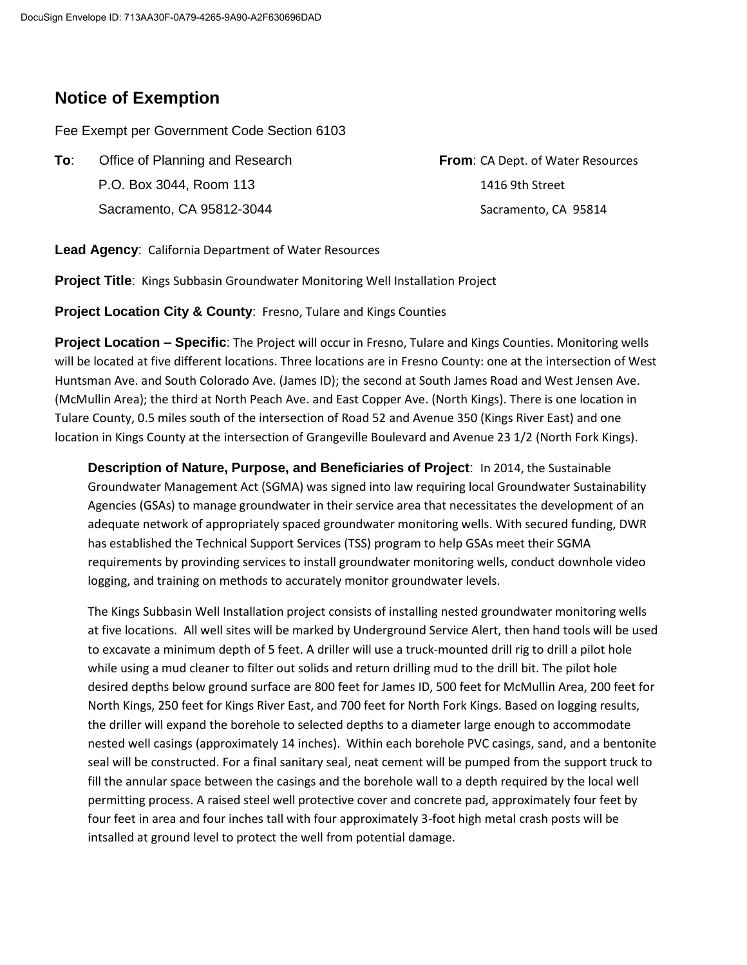## **Notice of Exemption**

Fee Exempt per Government Code Section 6103

**To:** Office of Planning and Research **From**: CA Dept. of Water Resources P.O. Box 3044, Room 113 1416 9th Street Sacramento, CA 95812-3044 Sacramento, CA 95814

**Lead Agency**: California Department of Water Resources

**Project Title**: Kings Subbasin Groundwater Monitoring Well Installation Project

**Project Location City & County**: Fresno, Tulare and Kings Counties

**Project Location – Specific**: The Project will occur in Fresno, Tulare and Kings Counties. Monitoring wells will be located at five different locations. Three locations are in Fresno County: one at the intersection of West Huntsman Ave. and South Colorado Ave. (James ID); the second at South James Road and West Jensen Ave. (McMullin Area); the third at North Peach Ave. and East Copper Ave. (North Kings). There is one location in Tulare County, 0.5 miles south of the intersection of Road 52 and Avenue 350 (Kings River East) and one location in Kings County at the intersection of Grangeville Boulevard and Avenue 23 1/2 (North Fork Kings).

**Description of Nature, Purpose, and Beneficiaries of Project**: In 2014, the Sustainable Groundwater Management Act (SGMA) was signed into law requiring local Groundwater Sustainability Agencies (GSAs) to manage groundwater in their service area that necessitates the development of an adequate network of appropriately spaced groundwater monitoring wells. With secured funding, DWR has established the Technical Support Services (TSS) program to help GSAs meet their SGMA requirements by provinding services to install groundwater monitoring wells, conduct downhole video logging, and training on methods to accurately monitor groundwater levels.

The Kings Subbasin Well Installation project consists of installing nested groundwater monitoring wells at five locations. All well sites will be marked by Underground Service Alert, then hand tools will be used to excavate a minimum depth of 5 feet. A driller will use a truck-mounted drill rig to drill a pilot hole while using a mud cleaner to filter out solids and return drilling mud to the drill bit. The pilot hole desired depths below ground surface are 800 feet for James ID, 500 feet for McMullin Area, 200 feet for North Kings, 250 feet for Kings River East, and 700 feet for North Fork Kings. Based on logging results, the driller will expand the borehole to selected depths to a diameter large enough to accommodate nested well casings (approximately 14 inches). Within each borehole PVC casings, sand, and a bentonite seal will be constructed. For a final sanitary seal, neat cement will be pumped from the support truck to fill the annular space between the casings and the borehole wall to a depth required by the local well permitting process. A raised steel well protective cover and concrete pad, approximately four feet by four feet in area and four inches tall with four approximately 3-foot high metal crash posts will be intsalled at ground level to protect the well from potential damage.